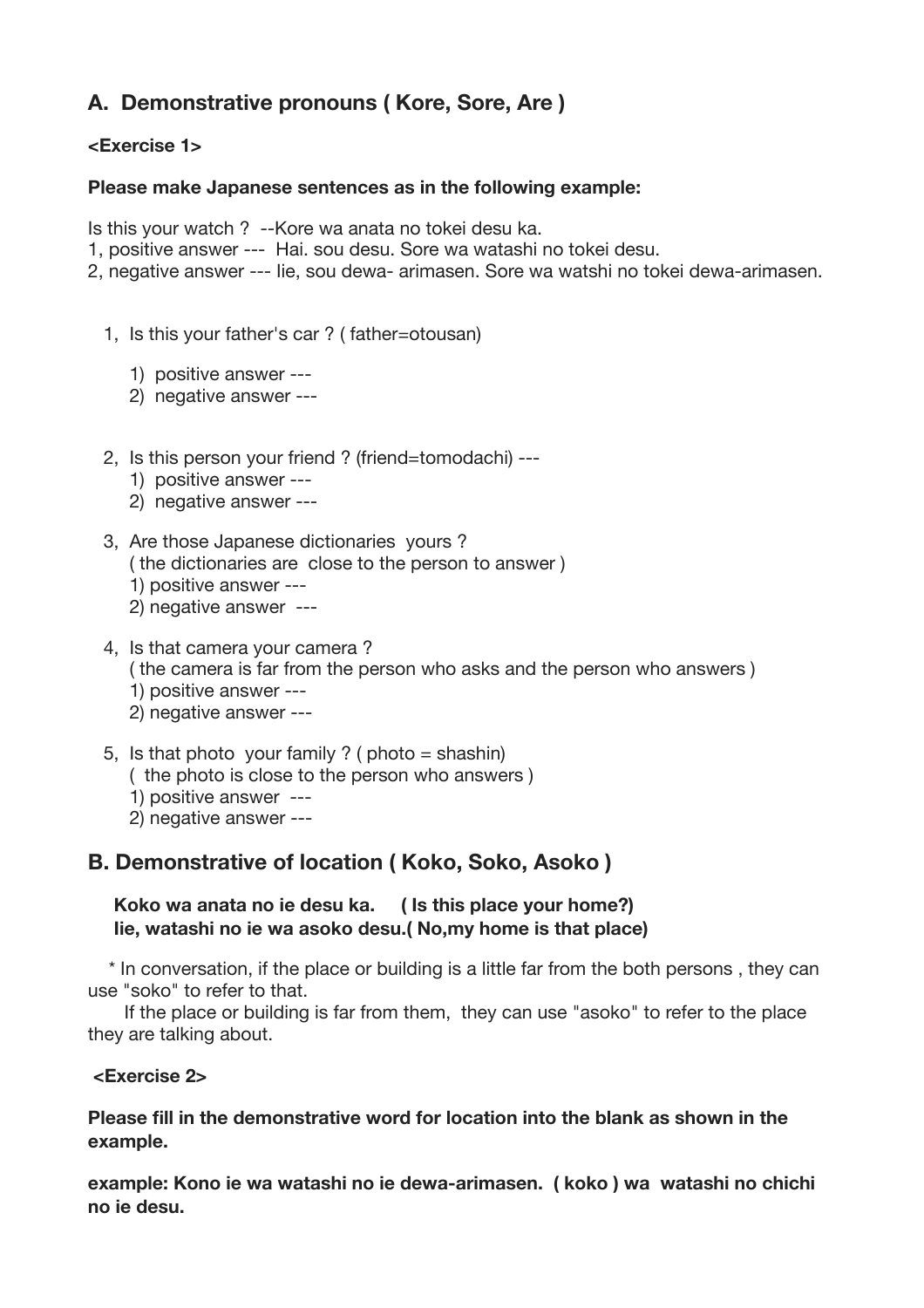# **A. Demonstrative pronouns ( Kore, Sore, Are )**

#### **<Exercise 1>**

#### **Please make Japanese sentences as in the following example:**

Is this your watch ? --Kore wa anata no tokei desu ka.

- 1, positive answer --- Hai. sou desu. Sore wa watashi no tokei desu.
- 2, negative answer --- Iie, sou dewa- arimasen. Sore wa watshi no tokei dewa-arimasen.
	- 1, Is this your father's car ? ( father=otousan)
		- 1) positive answer ---
		- 2) negative answer ---
	- 2, Is this person your friend ? (friend=tomodachi) ---
		- 1) positive answer ---
		- 2) negative answer ---
	- 3, Are those Japanese dictionaries yours ?
		- ( the dictionaries are close to the person to answer )
		- 1) positive answer ---
		- 2) negative answer ---
	- 4, Is that camera your camera ?
		- ( the camera is far from the person who asks and the person who answers )
		- 1) positive answer ---
		- 2) negative answer ---
	- 5, Is that photo your family ? (  $photo = shashin$ )
		- ( the photo is close to the person who answers )
		- 1) positive answer ---
		- 2) negative answer ---

### **B. Demonstrative of location ( Koko, Soko, Asoko )**

#### **Koko wa anata no ie desu ka. ( Is this place your home?) Iie, watashi no ie wa asoko desu.( No,my home is that place)**

 \* In conversation, if the place or building is a little far from the both persons , they can use "soko" to refer to that.

 If the place or building is far from them, they can use "asoko" to refer to the place they are talking about.

#### **<Exercise 2>**

#### **Please fill in the demonstrative word for location into the blank as shown in the example.**

**example: Kono ie wa watashi no ie dewa-arimasen. ( koko ) wa watashi no chichi no ie desu.**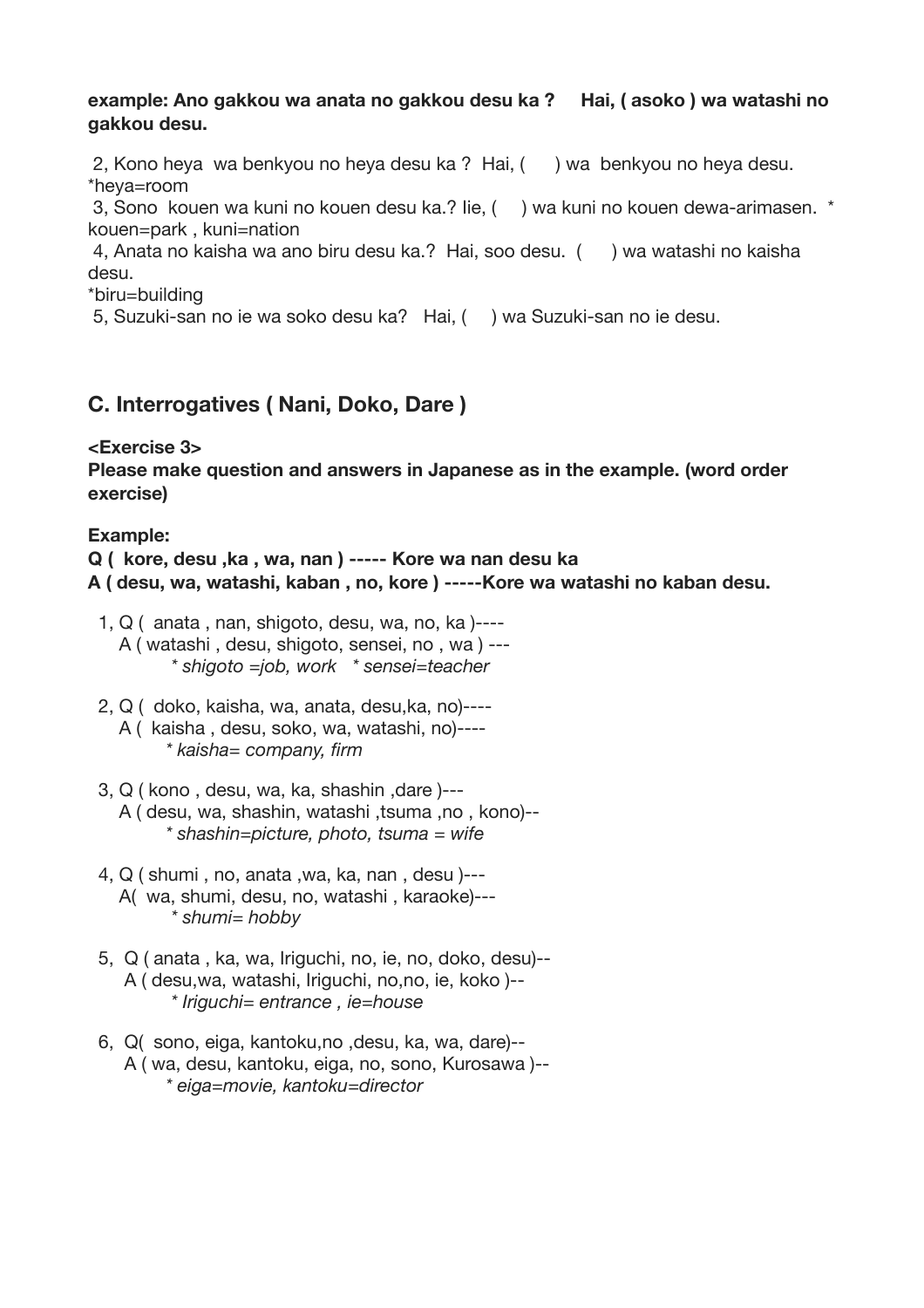#### **example: Ano gakkou wa anata no gakkou desu ka ? Hai, ( asoko ) wa watashi no gakkou desu.**

2, Kono heya wa benkyou no heya desu ka ? Hai, ( ) wa benkyou no heya desu. \*heya=room

3, Sono kouen wa kuni no kouen desu ka.? Iie, ( ) wa kuni no kouen dewa-arimasen. \* kouen=park , kuni=nation

4, Anata no kaisha wa ano biru desu ka.? Hai, soo desu. ( ) wa watashi no kaisha desu.

\*biru=building

5, Suzuki-san no ie wa soko desu ka? Hai, ( ) wa Suzuki-san no ie desu.

### **C. Interrogatives ( Nani, Doko, Dare )**

#### **<Exercise 3>**

**Please make question and answers in Japanese as in the example. (word order exercise)**

#### Example:

**Q ( kore, desu ,ka , wa, nan ) ----- Kore wa nan desu ka A ( desu, wa, watashi, kaban , no, kore ) -----Kore wa watashi no kaban desu.**

- $1, Q$  ( anata, nan, shigoto, desu, wa, no, ka)---- A ( watashi , desu, shigoto, sensei, no , wa ) ---  *\* shigoto =job, work \* sensei=teacher*
- 2, Q ( doko, kaisha, wa, anata, desu,ka, no)---- A ( kaisha , desu, soko, wa, watashi, no)---- *\* kaisha= company, firm*
- 3, Q ( kono , desu, wa, ka, shashin ,dare )--- A ( desu, wa, shashin, watashi ,tsuma ,no , kono)-- *\* shashin=picture, photo, tsuma = wife*
- 4, Q ( shumi , no, anata ,wa, ka, nan , desu )--- A( wa, shumi, desu, no, watashi , karaoke)---  *\* shumi= hobby*
- 5, Q ( anata , ka, wa, Iriguchi, no, ie, no, doko, desu)-- A ( desu,wa, watashi, Iriguchi, no,no, ie, koko )--  *\* Iriguchi= entrance , ie=house*
- 6, Q( sono, eiga, kantoku,no ,desu, ka, wa, dare)-- A ( wa, desu, kantoku, eiga, no, sono, Kurosawa )-- *\* eiga=movie, kantoku=director*